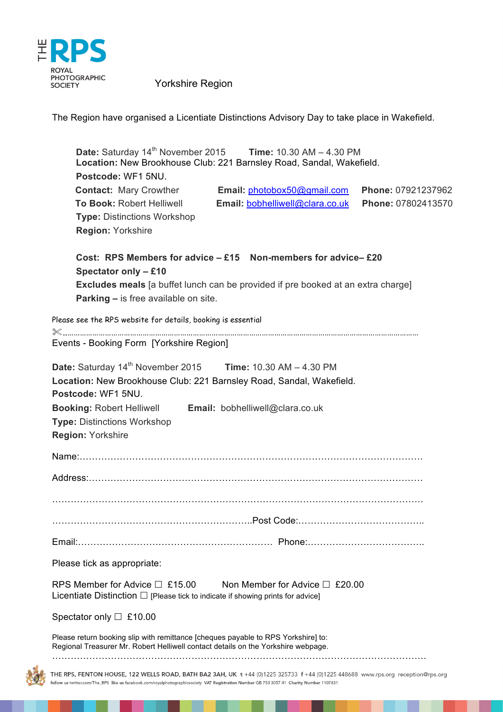

The Region have organised a Licentiate Distinctions Advisory Day to take place in Wakefield.

| Postcode: WF1 5NU.                                                                                                                                                                                                                                                                               | Date: Saturday $14^{th}$ November 2015 Time: 10.30 AM $-$ 4.30 PM<br>Location: New Brookhouse Club: 221 Barnsley Road, Sandal, Wakefield.                       |                                          |
|--------------------------------------------------------------------------------------------------------------------------------------------------------------------------------------------------------------------------------------------------------------------------------------------------|-----------------------------------------------------------------------------------------------------------------------------------------------------------------|------------------------------------------|
| <b>Contact:</b> Mary Crowther <b>Email:</b> photobox50@gmail.com<br>To Book: Robert Helliwell Email: bobhelliwell@clara.co.uk<br><b>Type: Distinctions Workshop</b><br><b>Region: Yorkshire</b>                                                                                                  |                                                                                                                                                                 | Phone: 07921237962<br>Phone: 07802413570 |
| Spectator only - £10<br><b>Parking - is free available on site.</b>                                                                                                                                                                                                                              | Cost: RPS Members for advice $-$ £15 Non-members for advice- $-$ £20<br><b>Excludes meals</b> [a buffet lunch can be provided if pre booked at an extra charge] |                                          |
| Please see the RPS website for details, booking is essential<br>Events - Booking Form [Yorkshire Region]                                                                                                                                                                                         |                                                                                                                                                                 |                                          |
| <b>Date:</b> Saturday $14^{th}$ November 2015 Time: $10.30$ AM $- 4.30$ PM<br>Location: New Brookhouse Club: 221 Barnsley Road, Sandal, Wakefield.<br>Postcode: WF1 5NU.<br>Booking: Robert Helliwell Email: bobhelliwell@clara.co.uk<br><b>Type: Distinctions Workshop</b><br>Region: Yorkshire |                                                                                                                                                                 |                                          |
|                                                                                                                                                                                                                                                                                                  |                                                                                                                                                                 |                                          |
|                                                                                                                                                                                                                                                                                                  |                                                                                                                                                                 |                                          |
| Please tick as appropriate:                                                                                                                                                                                                                                                                      |                                                                                                                                                                 |                                          |
| RPS Member for Advice $\Box$ £15.00<br>Licentiate Distinction $\Box$ [Please tick to indicate if showing prints for advice]                                                                                                                                                                      | Non Member for Advice $\Box$ £20.00                                                                                                                             |                                          |
| Spectator only $\Box$ £10.00                                                                                                                                                                                                                                                                     |                                                                                                                                                                 |                                          |
| Please return booking slip with remittance [cheques payable to RPS Yorkshire] to:<br>Regional Treasurer Mr. Robert Helliwell contact details on the Yorkshire webpage.                                                                                                                           |                                                                                                                                                                 |                                          |
| THE RPS, FENTON HOUSE, 122 WELLS ROAD, BATH BA2 3AH, UK t +44 (0)1225 325733 f +44 (0)1225 448688 www.rps.org reception@rps.org                                                                                                                                                                  |                                                                                                                                                                 |                                          |

follow us twitter.com/The\_RPS like us facebook.com/royalphotographicsociety VAT Registration Number GB 753 3057 41 Charity Number 1107831